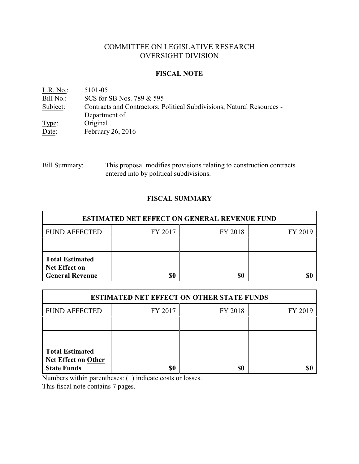# COMMITTEE ON LEGISLATIVE RESEARCH OVERSIGHT DIVISION

## **FISCAL NOTE**

<u>L.R. No.:</u> 5101-05<br>Bill No.: SCS for : SCS for SB Nos. 789 & 595 Subject: Contracts and Contractors; Political Subdivisions; Natural Resources - Department of Type: Original Date: February 26, 2016

Bill Summary: This proposal modifies provisions relating to construction contracts entered into by political subdivisions.

## **FISCAL SUMMARY**

| <b>ESTIMATED NET EFFECT ON GENERAL REVENUE FUND</b>                      |         |         |         |  |
|--------------------------------------------------------------------------|---------|---------|---------|--|
| <b>FUND AFFECTED</b>                                                     | FY 2017 | FY 2018 | FY 2019 |  |
|                                                                          |         |         |         |  |
| <b>Total Estimated</b><br><b>Net Effect on</b><br><b>General Revenue</b> | \$0     | \$0     |         |  |

| <b>ESTIMATED NET EFFECT ON OTHER STATE FUNDS</b>                           |         |         |         |  |
|----------------------------------------------------------------------------|---------|---------|---------|--|
| <b>FUND AFFECTED</b>                                                       | FY 2017 | FY 2018 | FY 2019 |  |
|                                                                            |         |         |         |  |
|                                                                            |         |         |         |  |
| <b>Total Estimated</b><br><b>Net Effect on Other</b><br><b>State Funds</b> | \$0     | \$0     |         |  |

Numbers within parentheses: ( ) indicate costs or losses.

This fiscal note contains 7 pages.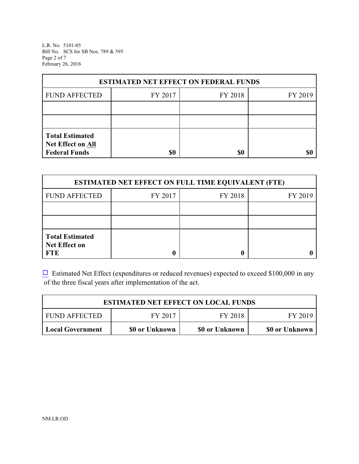L.R. No. 5101-05 Bill No. SCS for SB Nos. 789 & 595 Page 2 of 7 February 26, 2016

| <b>ESTIMATED NET EFFECT ON FEDERAL FUNDS</b>                        |         |         |         |  |
|---------------------------------------------------------------------|---------|---------|---------|--|
| <b>FUND AFFECTED</b>                                                | FY 2017 | FY 2018 | FY 2019 |  |
|                                                                     |         |         |         |  |
|                                                                     |         |         |         |  |
| <b>Total Estimated</b><br>Net Effect on All<br><b>Federal Funds</b> | \$0     | \$0     |         |  |

| <b>ESTIMATED NET EFFECT ON FULL TIME EQUIVALENT (FTE)</b>    |         |         |         |  |
|--------------------------------------------------------------|---------|---------|---------|--|
| <b>FUND AFFECTED</b>                                         | FY 2017 | FY 2018 | FY 2019 |  |
|                                                              |         |         |         |  |
|                                                              |         |         |         |  |
| <b>Total Estimated</b><br><b>Net Effect on</b><br><b>FTE</b> |         |         |         |  |

 $\Box$  Estimated Net Effect (expenditures or reduced revenues) expected to exceed \$100,000 in any of the three fiscal years after implementation of the act.

| <b>ESTIMATED NET EFFECT ON LOCAL FUNDS</b> |                |                |                |  |
|--------------------------------------------|----------------|----------------|----------------|--|
| <b>FUND AFFECTED</b>                       | FY 2017        | FY 2018        | FY 2019        |  |
| Local Government                           | \$0 or Unknown | \$0 or Unknown | \$0 or Unknown |  |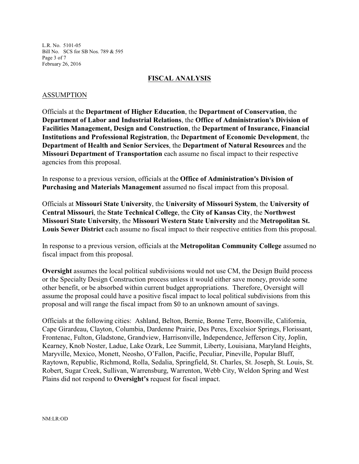L.R. No. 5101-05 Bill No. SCS for SB Nos. 789 & 595 Page 3 of 7 February 26, 2016

## **FISCAL ANALYSIS**

### ASSUMPTION

Officials at the **Department of Higher Education**, the **Department of Conservation**, the **Department of Labor and Industrial Relations**, the **Office of Administration's Division of Facilities Management, Design and Construction**, the **Department of Insurance, Financial Institutions and Professional Registration**, the **Department of Economic Development**, the **Department of Health and Senior Services**, the **Department of Natural Resources** and the **Missouri Department of Transportation** each assume no fiscal impact to their respective agencies from this proposal.

In response to a previous version, officials at the **Office of Administration's Division of Purchasing and Materials Management** assumed no fiscal impact from this proposal.

Officials at **Missouri State University**, the **University of Missouri System**, the **University of Central Missouri**, the **State Technical College**, the **City of Kansas City**, the **Northwest Missouri State University**, the **Missouri Western State University** and the **Metropolitan St. Louis Sewer District** each assume no fiscal impact to their respective entities from this proposal.

In response to a previous version, officials at the **Metropolitan Community College** assumed no fiscal impact from this proposal.

**Oversight** assumes the local political subdivisions would not use CM, the Design Build process or the Specialty Design Construction process unless it would either save money, provide some other benefit, or be absorbed within current budget appropriations. Therefore, Oversight will assume the proposal could have a positive fiscal impact to local political subdivisions from this proposal and will range the fiscal impact from \$0 to an unknown amount of savings.

Officials at the following cities: Ashland, Belton, Bernie, Bonne Terre, Boonville, California, Cape Girardeau, Clayton, Columbia, Dardenne Prairie, Des Peres, Excelsior Springs, Florissant, Frontenac, Fulton, Gladstone, Grandview, Harrisonville, Independence, Jefferson City, Joplin, Kearney, Knob Noster, Ladue, Lake Ozark, Lee Summit, Liberty, Louisiana, Maryland Heights, Maryville, Mexico, Monett, Neosho, O'Fallon, Pacific, Peculiar, Pineville, Popular Bluff, Raytown, Republic, Richmond, Rolla, Sedalia, Springfield, St. Charles, St. Joseph, St. Louis, St. Robert, Sugar Creek, Sullivan, Warrensburg, Warrenton, Webb City, Weldon Spring and West Plains did not respond to **Oversight's** request for fiscal impact.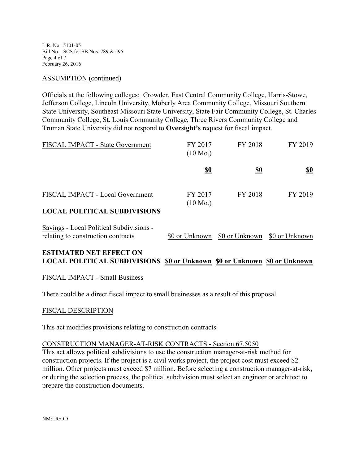L.R. No. 5101-05 Bill No. SCS for SB Nos. 789 & 595 Page 4 of 7 February 26, 2016

## ASSUMPTION (continued)

Officials at the following colleges: Crowder, East Central Community College, Harris-Stowe, Jefferson College, Lincoln University, Moberly Area Community College, Missouri Southern State University, Southeast Missouri State University, State Fair Community College, St. Charles Community College, St. Louis Community College, Three Rivers Community College and Truman State University did not respond to **Oversight's** request for fiscal impact.

| <b>FISCAL IMPACT - State Government</b> | FY 2017<br>$(10 \text{ Mo.})$ | FY 2018    | FY 2019    |
|-----------------------------------------|-------------------------------|------------|------------|
|                                         | <u>\$0</u>                    | <u>\$0</u> | <u>\$0</u> |
| FISCAL IMPACT - Local Government        | FY 2017<br>$(10 \text{ Mo.})$ | FY 2018    | FY 2019    |
| <b>LOCAL POLITICAL SUBDIVISIONS</b>     |                               |            |            |

| Savings - Local Political Subdivisions - |                                              |  |
|------------------------------------------|----------------------------------------------|--|
| relating to construction contracts       | \$0 or Unknown \$0 or Unknown \$0 or Unknown |  |

## **ESTIMATED NET EFFECT ON LOCAL POLITICAL SUBDIVISIONS \$0 or Unknown \$0 or Unknown \$0 or Unknown**

## FISCAL IMPACT - Small Business

There could be a direct fiscal impact to small businesses as a result of this proposal.

#### FISCAL DESCRIPTION

This act modifies provisions relating to construction contracts.

#### CONSTRUCTION MANAGER-AT-RISK CONTRACTS - Section 67.5050

This act allows political subdivisions to use the construction manager-at-risk method for construction projects. If the project is a civil works project, the project cost must exceed \$2 million. Other projects must exceed \$7 million. Before selecting a construction manager-at-risk, or during the selection process, the political subdivision must select an engineer or architect to prepare the construction documents.

NM:LR:OD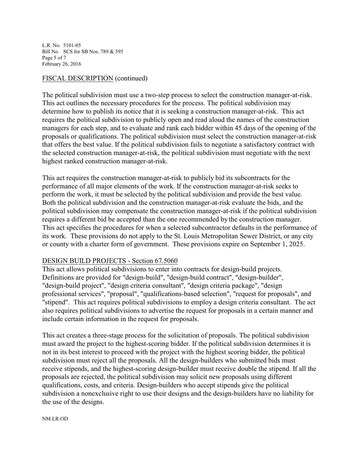L.R. No. 5101-05 Bill No. SCS for SB Nos. 789 & 595 Page 5 of 7 February 26, 2016

## FISCAL DESCRIPTION (continued)

The political subdivision must use a two-step process to select the construction manager-at-risk. This act outlines the necessary procedures for the process. The political subdivision may determine how to publish its notice that it is seeking a construction manager-at-risk. This act requires the political subdivision to publicly open and read aloud the names of the construction managers for each step, and to evaluate and rank each bidder within 45 days of the opening of the proposals or qualifications. The political subdivision must select the construction manager-at-risk that offers the best value. If the political subdivision fails to negotiate a satisfactory contract with the selected construction manager-at-risk, the political subdivision must negotiate with the next highest ranked construction manager-at-risk.

This act requires the construction manager-at-risk to publicly bid its subcontracts for the performance of all major elements of the work. If the construction manager-at-risk seeks to perform the work, it must be selected by the political subdivision and provide the best value. Both the political subdivision and the construction manager-at-risk evaluate the bids, and the political subdivision may compensate the construction manager-at-risk if the political subdivision requires a different bid be accepted than the one recommended by the construction manager. This act specifies the procedures for when a selected subcontractor defaults in the performance of its work. These provisions do not apply to the St. Louis Metropolitan Sewer District, or any city or county with a charter form of government. These provisions expire on September 1, 2025.

## DESIGN BUILD PROJECTS - Section 67.5060

This act allows political subdivisions to enter into contracts for design-build projects. Definitions are provided for "design-build", "design-build contract", "design-builder", "design-build project", "design criteria consultant", "design criteria package", "design professional services", "proposal", "qualifications-based selection", "request for proposals", and "stipend". This act requires political subdivisions to employ a design criteria consultant. The act also requires political subdivisions to advertise the request for proposals in a certain manner and include certain information in the request for proposals.

This act creates a three-stage process for the solicitation of proposals. The political subdivision must award the project to the highest-scoring bidder. If the political subdivision determines it is not in its best interest to proceed with the project with the highest scoring bidder, the political subdivision must reject all the proposals. All the design-builders who submitted bids must receive stipends, and the highest-scoring design-builder must receive double the stipend. If all the proposals are rejected, the political subdivision may solicit new proposals using different qualifications, costs, and criteria. Design-builders who accept stipends give the political subdivision a nonexclusive right to use their designs and the design-builders have no liability for the use of the designs.

#### NM:LR:OD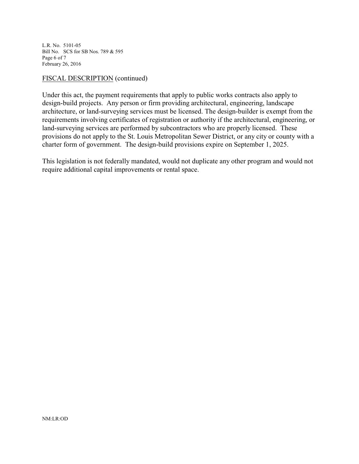L.R. No. 5101-05 Bill No. SCS for SB Nos. 789 & 595 Page 6 of 7 February 26, 2016

## FISCAL DESCRIPTION (continued)

Under this act, the payment requirements that apply to public works contracts also apply to design-build projects. Any person or firm providing architectural, engineering, landscape architecture, or land-surveying services must be licensed. The design-builder is exempt from the requirements involving certificates of registration or authority if the architectural, engineering, or land-surveying services are performed by subcontractors who are properly licensed. These provisions do not apply to the St. Louis Metropolitan Sewer District, or any city or county with a charter form of government. The design-build provisions expire on September 1, 2025.

This legislation is not federally mandated, would not duplicate any other program and would not require additional capital improvements or rental space.